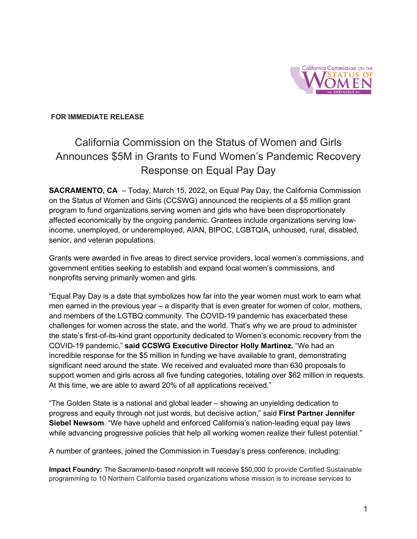

## **FOR IMMEDIATE RELEASE**

## California Commission on the Status of Women and Girls Announces \$5M in Grants to Fund Women's Pandemic Recovery Response on Equal Pay Day

**SACRAMENTO, CA** – Today, March 15, 2022, on Equal Pay Day, the California Commission on the Status of Women and Girls (CCSWG) announced the recipients of a \$5 million grant program to fund organizations serving women and girls who have been disproportionately affected economically by the ongoing pandemic. Grantees include organizations serving lowincome, unemployed, or underemployed, AIAN, BIPOC, LGBTQIA, unhoused, rural, disabled, senior, and veteran populations.

Grants were awarded in five areas to direct service providers, local women's commissions, and government entities seeking to establish and expand local women's commissions, and nonprofits serving primarily women and girls.

"Equal Pay Day is a date that symbolizes how far into the year women must work to earn what men earned in the previous year – a disparity that is even greater for women of color, mothers, and members of the LGTBQ community. The COVID-19 pandemic has exacerbated these challenges for women across the state, and the world. That's why we are proud to administer the state's first-of-its-kind grant opportunity dedicated to Women's economic recovery from the COVID-19 pandemic," **said CCSWG Executive Director Holly Martinez.** "We had an incredible response for the \$5 million in funding we have available to grant, demonstrating significant need around the state. We received and evaluated more than 630 proposals to support women and girls across all five funding categories, totaling over \$62 million in requests. At this time, we are able to award 20% of all applications received."

"The Golden State is a national and global leader – showing an unyielding dedication to progress and equity through not just words, but decisive action," said **First Partner Jennifer Siebel Newsom**. "We have upheld and enforced California's nation-leading equal pay laws while advancing progressive policies that help all working women realize their fullest potential."

A number of grantees, joined the Commission in Tuesday's press conference, including:

**Impact Foundry:** The Sacramento-based nonprofit will receive \$50,000 to provide Certified Sustainable programming to 10 Northern California based organizations whose mission is to increase services to